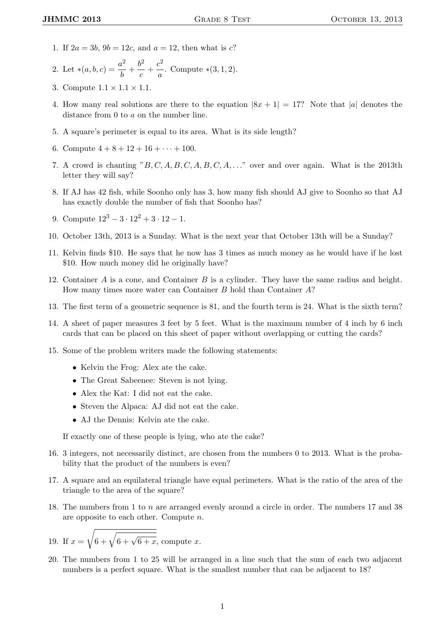- 1. If  $2a = 3b$ ,  $9b = 12c$ , and  $a = 12$ , then what is c?
- 2. Let  $*(a, b, c) = \frac{a^2}{b}$  $\frac{a^2}{b}+\frac{b^2}{c}$  $\frac{b^2}{c} + \frac{c^2}{a}$  $\frac{a}{a}$ . Compute \*(3, 1, 2).
- 3. Compute  $1.1 \times 1.1 \times 1.1$ .
- 4. How many real solutions are there to the equation  $|8x + 1| = 17$ ? Note that |a| denotes the distance from 0 to a on the number line.
- 5. A square's perimeter is equal to its area. What is its side length?
- 6. Compute  $4 + 8 + 12 + 16 + \cdots + 100$ .
- 7. A crowd is chanting " $B, C, A, B, C, A, B, C, A, \ldots$ " over and over again. What is the 2013th letter they will say?
- 8. If AJ has 42 fish, while Soonho only has 3, how many fish should AJ give to Soonho so that AJ has exactly double the number of fish that Soonho has?
- 9. Compute  $12^3 3 \cdot 12^2 + 3 \cdot 12 1$ .
- 10. October 13th, 2013 is a Sunday. What is the next year that October 13th will be a Sunday?
- 11. Kelvin finds \$10. He says that he now has 3 times as much money as he would have if he lost \$10. How much money did he originally have?
- 12. Container A is a cone, and Container B is a cylinder. They have the same radius and height. How many times more water can Container B hold than Container A?
- 13. The first term of a geometric sequence is 81, and the fourth term is 24. What is the sixth term?
- 14. A sheet of paper measures 3 feet by 5 feet. What is the maximum number of 4 inch by 6 inch cards that can be placed on this sheet of paper without overlapping or cutting the cards?
- 15. Some of the problem writers made the following statements:
	- Kelvin the Frog: Alex ate the cake.
	- The Great Sabeenee: Steven is not lying.
	- Alex the Kat: I did not eat the cake.
	- Steven the Alpaca: AJ did not eat the cake.
	- AJ the Dennis: Kelvin ate the cake.

If exactly one of these people is lying, who ate the cake?

- 16. 3 integers, not necessarily distinct, are chosen from the numbers 0 to 2013. What is the probability that the product of the numbers is even?
- 17. A square and an equilateral triangle have equal perimeters. What is the ratio of the area of the triangle to the area of the square?
- 18. The numbers from 1 to n are arranged evenly around a circle in order. The numbers 17 and 38 are opposite to each other. Compute n.

19. If 
$$
x = \sqrt{6 + \sqrt{6 + \sqrt{6 + x}}}
$$
, compute x.

20. The numbers from 1 to 25 will be arranged in a line such that the sum of each two adjacent numbers is a perfect square. What is the smallest number that can be adjacent to 18?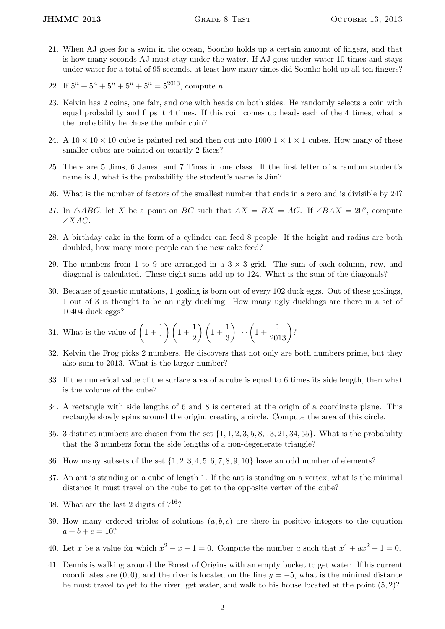- 21. When AJ goes for a swim in the ocean, Soonho holds up a certain amount of fingers, and that is how many seconds AJ must stay under the water. If AJ goes under water 10 times and stays under water for a total of 95 seconds, at least how many times did Soonho hold up all ten fingers?
- 22. If  $5^n + 5^n + 5^n + 5^n + 5^n = 5^{2013}$ , compute *n*.
- 23. Kelvin has 2 coins, one fair, and one with heads on both sides. He randomly selects a coin with equal probability and flips it 4 times. If this coin comes up heads each of the 4 times, what is the probability he chose the unfair coin?
- 24. A  $10 \times 10 \times 10$  cube is painted red and then cut into  $1000 \text{ 1} \times 1 \times 1$  cubes. How many of these smaller cubes are painted on exactly 2 faces?
- 25. There are 5 Jims, 6 Janes, and 7 Tinas in one class. If the first letter of a random student's name is J, what is the probability the student's name is Jim?
- 26. What is the number of factors of the smallest number that ends in a zero and is divisible by 24?
- 27. In  $\triangle ABC$ , let X be a point on BC such that  $AX = BX = AC$ . If  $\angle BAX = 20^{\circ}$ , compute ∠XAC.
- 28. A birthday cake in the form of a cylinder can feed 8 people. If the height and radius are both doubled, how many more people can the new cake feed?
- 29. The numbers from 1 to 9 are arranged in a  $3 \times 3$  grid. The sum of each column, row, and diagonal is calculated. These eight sums add up to 124. What is the sum of the diagonals?
- 30. Because of genetic mutations, 1 gosling is born out of every 102 duck eggs. Out of these goslings, 1 out of 3 is thought to be an ugly duckling. How many ugly ducklings are there in a set of 10404 duck eggs?
- 31. What is the value of  $\left(1+\frac{1}{1}\right)$  $\frac{1}{1}$  $\bigg)$  $\bigg(1+\frac{1}{2}\bigg)$  $\frac{1}{2}$  $\bigg) \bigg( 1 + \frac{1}{3}$ 3  $\bigg) \cdots \bigg(1 + \frac{1}{2013}\bigg)$ ?
- 32. Kelvin the Frog picks 2 numbers. He discovers that not only are both numbers prime, but they also sum to 2013. What is the larger number?
- 33. If the numerical value of the surface area of a cube is equal to 6 times its side length, then what is the volume of the cube?
- 34. A rectangle with side lengths of 6 and 8 is centered at the origin of a coordinate plane. This rectangle slowly spins around the origin, creating a circle. Compute the area of this circle.
- 35. 3 distinct numbers are chosen from the set  $\{1, 1, 2, 3, 5, 8, 13, 21, 34, 55\}$ . What is the probability that the 3 numbers form the side lengths of a non-degenerate triangle?
- 36. How many subsets of the set  $\{1, 2, 3, 4, 5, 6, 7, 8, 9, 10\}$  have an odd number of elements?
- 37. An ant is standing on a cube of length 1. If the ant is standing on a vertex, what is the minimal distance it must travel on the cube to get to the opposite vertex of the cube?
- 38. What are the last 2 digits of  $7^{16}$ ?
- 39. How many ordered triples of solutions  $(a, b, c)$  are there in positive integers to the equation  $a + b + c = 10$ ?
- 40. Let x be a value for which  $x^2 x + 1 = 0$ . Compute the number a such that  $x^4 + ax^2 + 1 = 0$ .
- 41. Dennis is walking around the Forest of Origins with an empty bucket to get water. If his current coordinates are  $(0, 0)$ , and the river is located on the line  $y = -5$ , what is the minimal distance he must travel to get to the river, get water, and walk to his house located at the point (5, 2)?